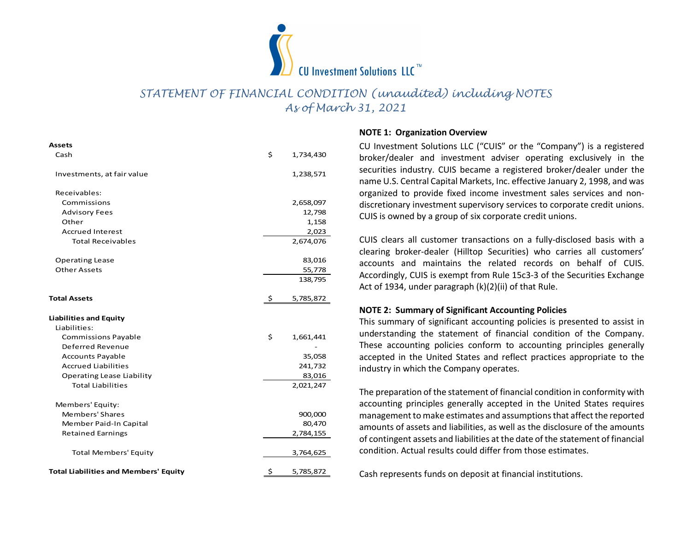

## STATEMENT OF FINANCIAL CONDITION (unaudited) including NOTES As of March 31, 2021

# Assets

|                                                                |                     | CU Investment Solutions $LIC^{\pi}$<br>STATEMENT OF FINANCIAL CONDITION (unaudited) including NOTES<br>As of March 31, 2021       |
|----------------------------------------------------------------|---------------------|-----------------------------------------------------------------------------------------------------------------------------------|
|                                                                |                     | <b>NOTE 1: Organization Overview</b>                                                                                              |
| Assets<br>Cash                                                 | \$<br>1,734,430     | CU Investment Solutions LLC ("CUIS" or the "Company") is a<br>broker/dealer and investment adviser operating exclusiv             |
| Investments, at fair value                                     | 1,238,571           | securities industry. CUIS became a registered broker/dealer<br>name U.S. Central Capital Markets, Inc. effective January 2, 199   |
| Receivables:                                                   |                     | organized to provide fixed income investment sales service                                                                        |
| Commissions                                                    | 2,658,097           | discretionary investment supervisory services to corporate cre                                                                    |
| <b>Advisory Fees</b>                                           | 12,798              | CUIS is owned by a group of six corporate credit unions.                                                                          |
| Other                                                          | 1,158               |                                                                                                                                   |
| <b>Accrued Interest</b>                                        | 2,023               |                                                                                                                                   |
| <b>Total Receivables</b>                                       | 2,674,076           | CUIS clears all customer transactions on a fully-disclosed b                                                                      |
|                                                                |                     | clearing broker-dealer (Hilltop Securities) who carries all                                                                       |
| <b>Operating Lease</b><br><b>Other Assets</b>                  | 83,016<br>55,778    | accounts and maintains the related records on behalf                                                                              |
|                                                                | 138,795             | Accordingly, CUIS is exempt from Rule 15c3-3 of the Securitie                                                                     |
|                                                                |                     | Act of 1934, under paragraph (k)(2)(ii) of that Rule.                                                                             |
| <b>Total Assets</b>                                            | 5,785,872           | <b>NOTE 2: Summary of Significant Accounting Policies</b>                                                                         |
| Liabilities and Equity                                         |                     | This summary of significant accounting policies is presented                                                                      |
| Liabilities:                                                   |                     | understanding the statement of financial condition of the                                                                         |
| Commissions Payable                                            | \$<br>1,661,441     |                                                                                                                                   |
| Deferred Revenue                                               |                     | These accounting policies conform to accounting principle                                                                         |
| <b>Accounts Payable</b>                                        | 35,058              | accepted in the United States and reflect practices appropr                                                                       |
| <b>Accrued Liabilities</b><br><b>Operating Lease Liability</b> | 241,732             | industry in which the Company operates.                                                                                           |
| <b>Total Liabilities</b>                                       | 83,016<br>2,021,247 |                                                                                                                                   |
|                                                                |                     | The preparation of the statement of financial condition in conf                                                                   |
| Members' Equity:                                               |                     | accounting principles generally accepted in the United Stat                                                                       |
| Members' Shares                                                | 900,000             | management to make estimates and assumptions that affect the                                                                      |
| Member Paid-In Capital                                         | 80,470              | amounts of assets and liabilities, as well as the disclosure of th                                                                |
| <b>Retained Earnings</b>                                       | 2,784,155           |                                                                                                                                   |
|                                                                | 3,764,625           | of contingent assets and liabilities at the date of the statement<br>condition. Actual results could differ from those estimates. |
| <b>Total Members' Equity</b>                                   |                     |                                                                                                                                   |

### NOTE 1: Organization Overview

CU Investment Solutions LLC ("CUIS" or the "Company") is a registered broker/dealer and investment adviser operating exclusively in the securities industry. CUIS became a registered broker/dealer under the name U.S. Central Capital Markets, Inc. effective January 2, 1998, and was organized to provide fixed income investment sales services and nondiscretionary investment supervisory services to corporate credit unions. Commissions 2,658,097 CUIS is owned by a group of six corporate credit unions.

> CUIS clears all customer transactions on a fully-disclosed basis with a clearing broker-dealer (Hilltop Securities) who carries all customers' accounts and maintains the related records on behalf of CUIS. 138,795 Accordingly, CUIS is exempt from Rule 15c3-3 of the Securities Exchange Act of 1934, under paragraph (k)(2)(ii) of that Rule.

### NOTE 2: Summary of Significant Accounting Policies

This summary of significant accounting policies is presented to assist in understanding the statement of financial condition of the Company. These accounting policies conform to accounting principles generally accepted in the United States and reflect practices appropriate to the industry in which the Company operates.

The preparation of the statement of financial condition in conformity with accounting principles generally accepted in the United States requires management to make estimates and assumptions that affect the reported amounts of assets and liabilities, as well as the disclosure of the amounts of contingent assets and liabilities at the date of the statement of financial condition. Actual results could differ from those estimates.